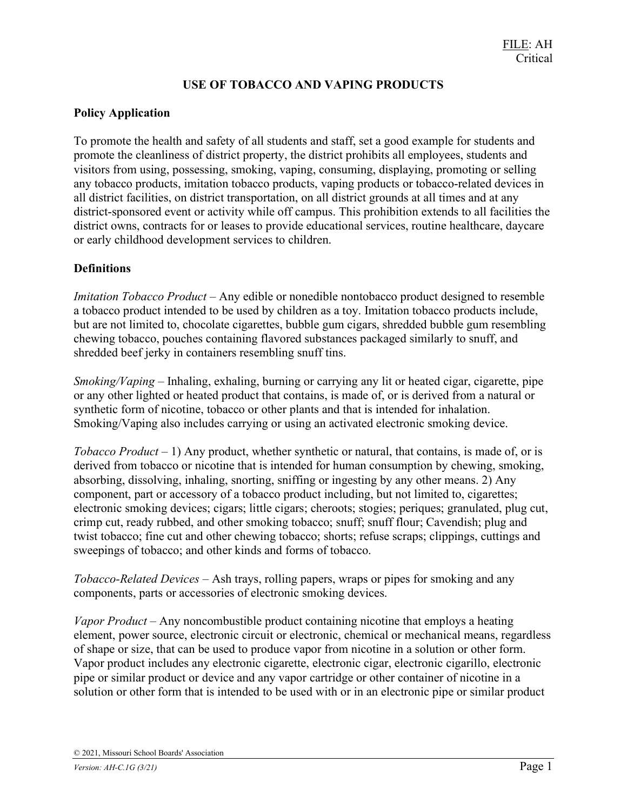# USE OF TOBACCO AND VAPING PRODUCTS

# Policy Application

To promote the health and safety of all students and staff, set a good example for students and promote the cleanliness of district property, the district prohibits all employees, students and visitors from using, possessing, smoking, vaping, consuming, displaying, promoting or selling any tobacco products, imitation tobacco products, vaping products or tobacco-related devices in all district facilities, on district transportation, on all district grounds at all times and at any district-sponsored event or activity while off campus. This prohibition extends to all facilities the district owns, contracts for or leases to provide educational services, routine healthcare, daycare or early childhood development services to children.

# **Definitions**

Imitation Tobacco Product – Any edible or nonedible nontobacco product designed to resemble a tobacco product intended to be used by children as a toy. Imitation tobacco products include, but are not limited to, chocolate cigarettes, bubble gum cigars, shredded bubble gum resembling chewing tobacco, pouches containing flavored substances packaged similarly to snuff, and shredded beef jerky in containers resembling snuff tins.

*Smoking/Vaping –* Inhaling, exhaling, burning or carrying any lit or heated cigar, cigarette, pipe or any other lighted or heated product that contains, is made of, or is derived from a natural or synthetic form of nicotine, tobacco or other plants and that is intended for inhalation. Smoking/Vaping also includes carrying or using an activated electronic smoking device.

Tobacco Product – 1) Any product, whether synthetic or natural, that contains, is made of, or is derived from tobacco or nicotine that is intended for human consumption by chewing, smoking, absorbing, dissolving, inhaling, snorting, sniffing or ingesting by any other means. 2) Any component, part or accessory of a tobacco product including, but not limited to, cigarettes; electronic smoking devices; cigars; little cigars; cheroots; stogies; periques; granulated, plug cut, crimp cut, ready rubbed, and other smoking tobacco; snuff; snuff flour; Cavendish; plug and twist tobacco; fine cut and other chewing tobacco; shorts; refuse scraps; clippings, cuttings and sweepings of tobacco; and other kinds and forms of tobacco.

Tobacco-Related Devices – Ash trays, rolling papers, wraps or pipes for smoking and any components, parts or accessories of electronic smoking devices.

Vapor Product – Any noncombustible product containing nicotine that employs a heating element, power source, electronic circuit or electronic, chemical or mechanical means, regardless of shape or size, that can be used to produce vapor from nicotine in a solution or other form. Vapor product includes any electronic cigarette, electronic cigar, electronic cigarillo, electronic pipe or similar product or device and any vapor cartridge or other container of nicotine in a solution or other form that is intended to be used with or in an electronic pipe or similar product